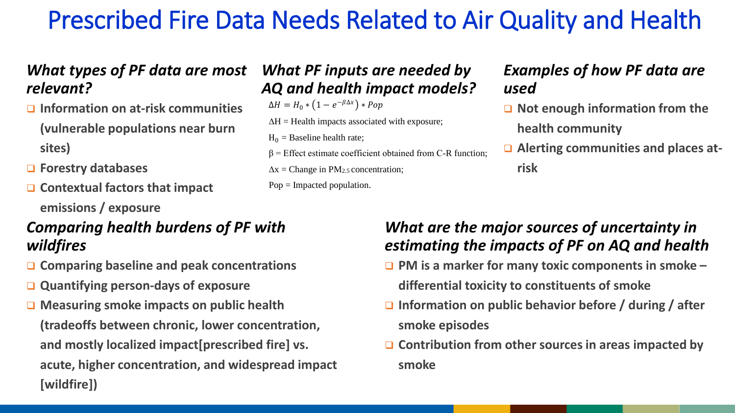# Prescribed Fire Data Needs Related to Air Quality and Health

#### *What types of PF data are most relevant?*

- **Information on at-risk communities (vulnerable populations near burn sites)**
- **Forestry databases**
- **Contextual factors that impact emissions / exposure**

#### *Comparing health burdens of PF with wildfires*

- **□ Comparing baseline and peak concentrations**
- **Quantifying person-days of exposure**
- **□ Measuring smoke impacts on public health (tradeoffs between chronic, lower concentration, and mostly localized impact[prescribed fire] vs. acute, higher concentration, and widespread impact [wildfire])**

### *What PF inputs are needed by AQ and health impact models?*

- $\Delta H = H_0*(1-e^{-\beta \Delta x}) * Pop$ 
	- $\Delta H$  = Health impacts associated with exposure;
	- $H_0$  = Baseline health rate;
	- $\beta$  = Effect estimate coefficient obtained from C-R function;
	- $\Delta x =$ Change in PM<sub>2.5</sub> concentration;
	- $Pop = Impacted population.$

#### *Examples of how PF data are used*

- **Q** Not enough information from the **health community**
- □ Alerting communities and places at**risk**

#### *What are the major sources of uncertainty in estimating the impacts of PF on AQ and health*

- **PM is a marker for many toxic components in smoke – differential toxicity to constituents of smoke**
- **Information on public behavior before / during / after smoke episodes**
- **Contribution from other sources in areas impacted by smoke**